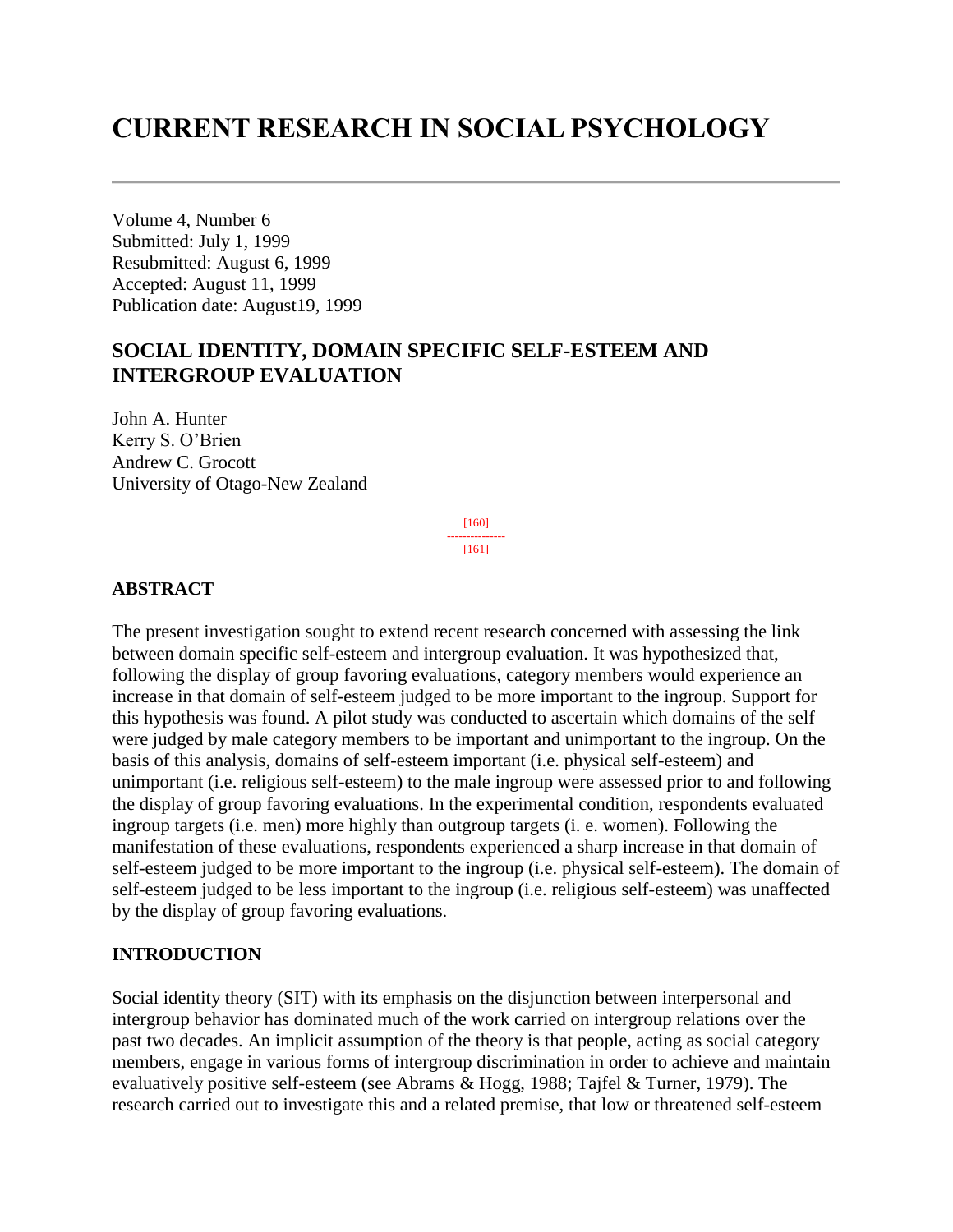# **CURRENT RESEARCH IN SOCIAL PSYCHOLOGY**

Volume 4, Number 6 Submitted: July 1, 1999 Resubmitted: August 6, 1999 Accepted: August 11, 1999 Publication date: August19, 1999

# **SOCIAL IDENTITY, DOMAIN SPECIFIC SELF-ESTEEM AND INTERGROUP EVALUATION**

John A. Hunter Kerry S. O'Brien Andrew C. Grocott University of Otago-New Zealand

> [160] --------------- [161]

#### **ABSTRACT**

The present investigation sought to extend recent research concerned with assessing the link between domain specific self-esteem and intergroup evaluation. It was hypothesized that, following the display of group favoring evaluations, category members would experience an increase in that domain of self-esteem judged to be more important to the ingroup. Support for this hypothesis was found. A pilot study was conducted to ascertain which domains of the self were judged by male category members to be important and unimportant to the ingroup. On the basis of this analysis, domains of self-esteem important (i.e. physical self-esteem) and unimportant (i.e. religious self-esteem) to the male ingroup were assessed prior to and following the display of group favoring evaluations. In the experimental condition, respondents evaluated ingroup targets (i.e. men) more highly than outgroup targets (i. e. women). Following the manifestation of these evaluations, respondents experienced a sharp increase in that domain of self-esteem judged to be more important to the ingroup (i.e. physical self-esteem). The domain of self-esteem judged to be less important to the ingroup (i.e. religious self-esteem) was unaffected by the display of group favoring evaluations.

#### **INTRODUCTION**

Social identity theory (SIT) with its emphasis on the disjunction between interpersonal and intergroup behavior has dominated much of the work carried on intergroup relations over the past two decades. An implicit assumption of the theory is that people, acting as social category members, engage in various forms of intergroup discrimination in order to achieve and maintain evaluatively positive self-esteem (see Abrams & Hogg, 1988; Tajfel & Turner, 1979). The research carried out to investigate this and a related premise, that low or threatened self-esteem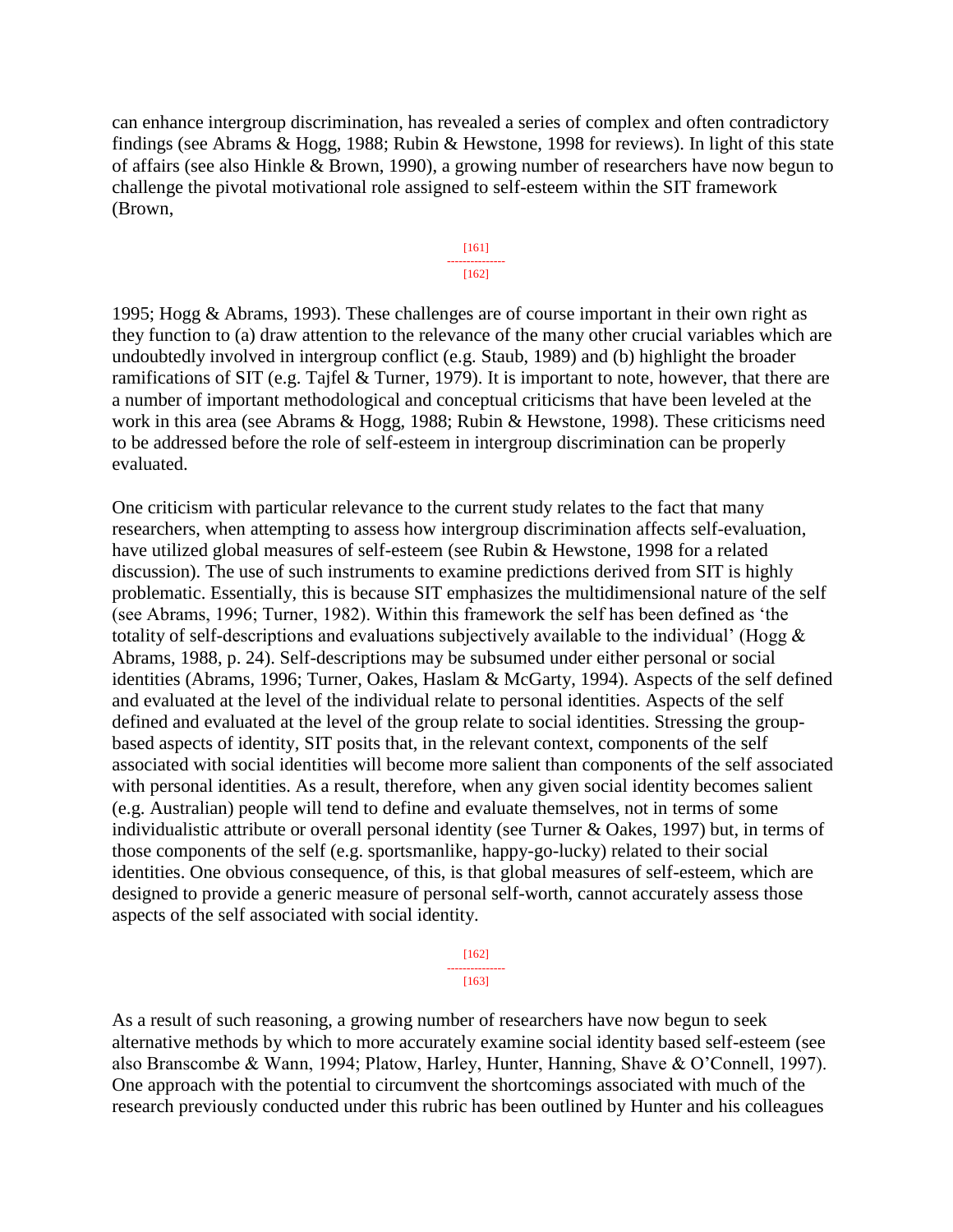can enhance intergroup discrimination, has revealed a series of complex and often contradictory findings (see Abrams & Hogg, 1988; Rubin & Hewstone, 1998 for reviews). In light of this state of affairs (see also Hinkle & Brown, 1990), a growing number of researchers have now begun to challenge the pivotal motivational role assigned to self-esteem within the SIT framework (Brown,



1995; Hogg & Abrams, 1993). These challenges are of course important in their own right as they function to (a) draw attention to the relevance of the many other crucial variables which are undoubtedly involved in intergroup conflict (e.g. Staub, 1989) and (b) highlight the broader ramifications of SIT (e.g. Tajfel & Turner, 1979). It is important to note, however, that there are a number of important methodological and conceptual criticisms that have been leveled at the work in this area (see Abrams & Hogg, 1988; Rubin & Hewstone, 1998). These criticisms need to be addressed before the role of self-esteem in intergroup discrimination can be properly evaluated.

One criticism with particular relevance to the current study relates to the fact that many researchers, when attempting to assess how intergroup discrimination affects self-evaluation, have utilized global measures of self-esteem (see Rubin & Hewstone, 1998 for a related discussion). The use of such instruments to examine predictions derived from SIT is highly problematic. Essentially, this is because SIT emphasizes the multidimensional nature of the self (see Abrams, 1996; Turner, 1982). Within this framework the self has been defined as 'the totality of self-descriptions and evaluations subjectively available to the individual' (Hogg  $\&$ Abrams, 1988, p. 24). Self-descriptions may be subsumed under either personal or social identities (Abrams, 1996; Turner, Oakes, Haslam & McGarty, 1994). Aspects of the self defined and evaluated at the level of the individual relate to personal identities. Aspects of the self defined and evaluated at the level of the group relate to social identities. Stressing the groupbased aspects of identity, SIT posits that, in the relevant context, components of the self associated with social identities will become more salient than components of the self associated with personal identities. As a result, therefore, when any given social identity becomes salient (e.g. Australian) people will tend to define and evaluate themselves, not in terms of some individualistic attribute or overall personal identity (see Turner & Oakes, 1997) but, in terms of those components of the self (e.g. sportsmanlike, happy-go-lucky) related to their social identities. One obvious consequence, of this, is that global measures of self-esteem, which are designed to provide a generic measure of personal self-worth, cannot accurately assess those aspects of the self associated with social identity.

> [162] --------------- [163]

As a result of such reasoning, a growing number of researchers have now begun to seek alternative methods by which to more accurately examine social identity based self-esteem (see also Branscombe & Wann, 1994; Platow, Harley, Hunter, Hanning, Shave & O'Connell, 1997). One approach with the potential to circumvent the shortcomings associated with much of the research previously conducted under this rubric has been outlined by Hunter and his colleagues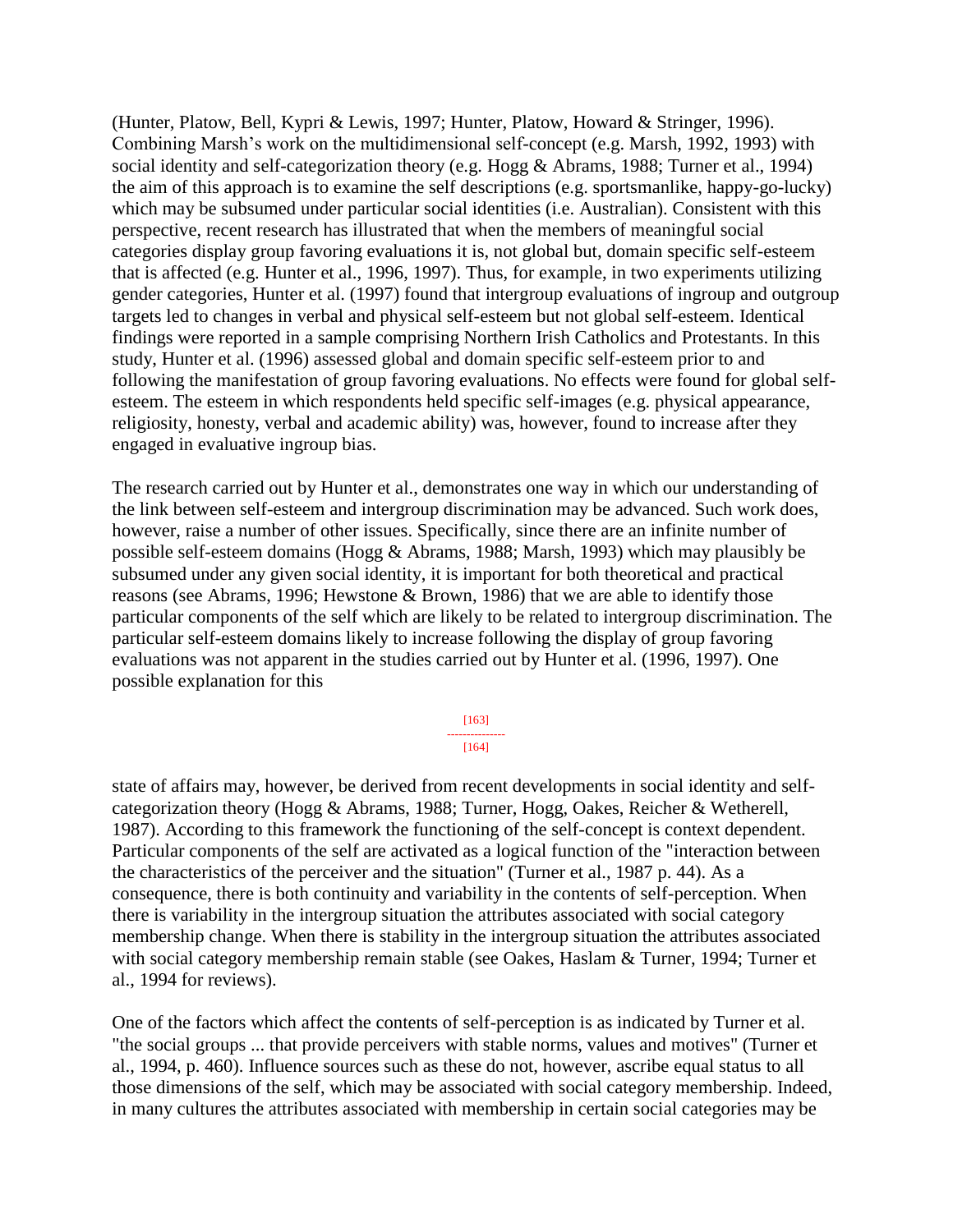(Hunter, Platow, Bell, Kypri & Lewis, 1997; Hunter, Platow, Howard & Stringer, 1996). Combining Marsh's work on the multidimensional self-concept (e.g. Marsh, 1992, 1993) with social identity and self-categorization theory (e.g. Hogg & Abrams, 1988; Turner et al., 1994) the aim of this approach is to examine the self descriptions (e.g. sportsmanlike, happy-go-lucky) which may be subsumed under particular social identities (i.e. Australian). Consistent with this perspective, recent research has illustrated that when the members of meaningful social categories display group favoring evaluations it is, not global but, domain specific self-esteem that is affected (e.g. Hunter et al., 1996, 1997). Thus, for example, in two experiments utilizing gender categories, Hunter et al. (1997) found that intergroup evaluations of ingroup and outgroup targets led to changes in verbal and physical self-esteem but not global self-esteem. Identical findings were reported in a sample comprising Northern Irish Catholics and Protestants. In this study, Hunter et al. (1996) assessed global and domain specific self-esteem prior to and following the manifestation of group favoring evaluations. No effects were found for global selfesteem. The esteem in which respondents held specific self-images (e.g. physical appearance, religiosity, honesty, verbal and academic ability) was, however, found to increase after they engaged in evaluative ingroup bias.

The research carried out by Hunter et al., demonstrates one way in which our understanding of the link between self-esteem and intergroup discrimination may be advanced. Such work does, however, raise a number of other issues. Specifically, since there are an infinite number of possible self-esteem domains (Hogg & Abrams, 1988; Marsh, 1993) which may plausibly be subsumed under any given social identity, it is important for both theoretical and practical reasons (see Abrams, 1996; Hewstone & Brown, 1986) that we are able to identify those particular components of the self which are likely to be related to intergroup discrimination. The particular self-esteem domains likely to increase following the display of group favoring evaluations was not apparent in the studies carried out by Hunter et al. (1996, 1997). One possible explanation for this

> [163] --------------- [164]

state of affairs may, however, be derived from recent developments in social identity and selfcategorization theory (Hogg & Abrams, 1988; Turner, Hogg, Oakes, Reicher & Wetherell, 1987). According to this framework the functioning of the self-concept is context dependent. Particular components of the self are activated as a logical function of the "interaction between the characteristics of the perceiver and the situation" (Turner et al., 1987 p. 44). As a consequence, there is both continuity and variability in the contents of self-perception. When there is variability in the intergroup situation the attributes associated with social category membership change. When there is stability in the intergroup situation the attributes associated with social category membership remain stable (see Oakes, Haslam & Turner, 1994; Turner et al., 1994 for reviews).

One of the factors which affect the contents of self-perception is as indicated by Turner et al. "the social groups ... that provide perceivers with stable norms, values and motives" (Turner et al., 1994, p. 460). Influence sources such as these do not, however, ascribe equal status to all those dimensions of the self, which may be associated with social category membership. Indeed, in many cultures the attributes associated with membership in certain social categories may be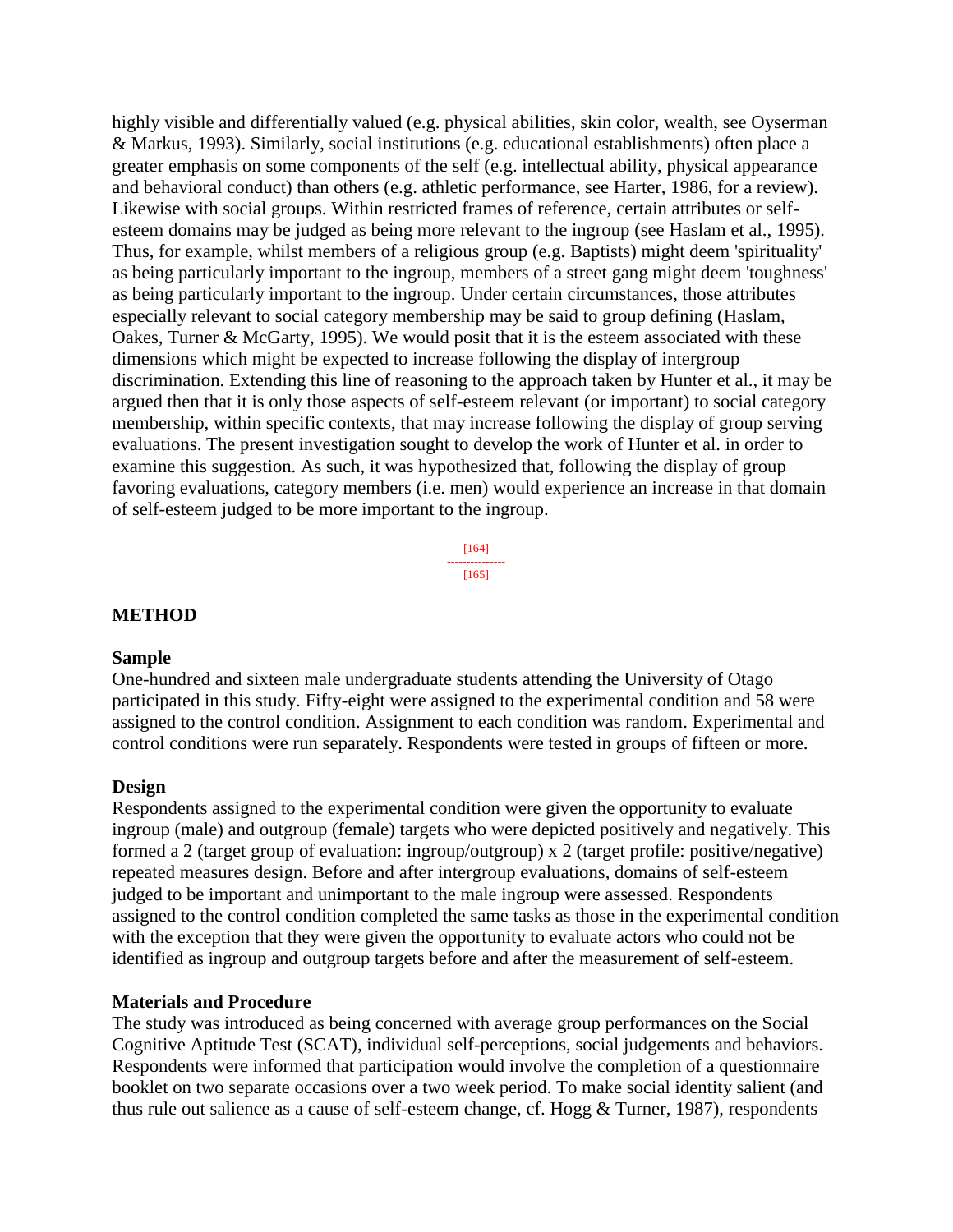highly visible and differentially valued (e.g. physical abilities, skin color, wealth, see Oyserman & Markus, 1993). Similarly, social institutions (e.g. educational establishments) often place a greater emphasis on some components of the self (e.g. intellectual ability, physical appearance and behavioral conduct) than others (e.g. athletic performance, see Harter, 1986, for a review). Likewise with social groups. Within restricted frames of reference, certain attributes or selfesteem domains may be judged as being more relevant to the ingroup (see Haslam et al., 1995). Thus, for example, whilst members of a religious group (e.g. Baptists) might deem 'spirituality' as being particularly important to the ingroup, members of a street gang might deem 'toughness' as being particularly important to the ingroup. Under certain circumstances, those attributes especially relevant to social category membership may be said to group defining (Haslam, Oakes, Turner & McGarty, 1995). We would posit that it is the esteem associated with these dimensions which might be expected to increase following the display of intergroup discrimination. Extending this line of reasoning to the approach taken by Hunter et al., it may be argued then that it is only those aspects of self-esteem relevant (or important) to social category membership, within specific contexts, that may increase following the display of group serving evaluations. The present investigation sought to develop the work of Hunter et al. in order to examine this suggestion. As such, it was hypothesized that, following the display of group favoring evaluations, category members (i.e. men) would experience an increase in that domain of self-esteem judged to be more important to the ingroup.

> [164] --------------- [165]

#### **METHOD**

#### **Sample**

One-hundred and sixteen male undergraduate students attending the University of Otago participated in this study. Fifty-eight were assigned to the experimental condition and 58 were assigned to the control condition. Assignment to each condition was random. Experimental and control conditions were run separately. Respondents were tested in groups of fifteen or more.

#### **Design**

Respondents assigned to the experimental condition were given the opportunity to evaluate ingroup (male) and outgroup (female) targets who were depicted positively and negatively. This formed a 2 (target group of evaluation: ingroup/outgroup) x 2 (target profile: positive/negative) repeated measures design. Before and after intergroup evaluations, domains of self-esteem judged to be important and unimportant to the male ingroup were assessed. Respondents assigned to the control condition completed the same tasks as those in the experimental condition with the exception that they were given the opportunity to evaluate actors who could not be identified as ingroup and outgroup targets before and after the measurement of self-esteem.

#### **Materials and Procedure**

The study was introduced as being concerned with average group performances on the Social Cognitive Aptitude Test (SCAT), individual self-perceptions, social judgements and behaviors. Respondents were informed that participation would involve the completion of a questionnaire booklet on two separate occasions over a two week period. To make social identity salient (and thus rule out salience as a cause of self-esteem change, cf. Hogg & Turner, 1987), respondents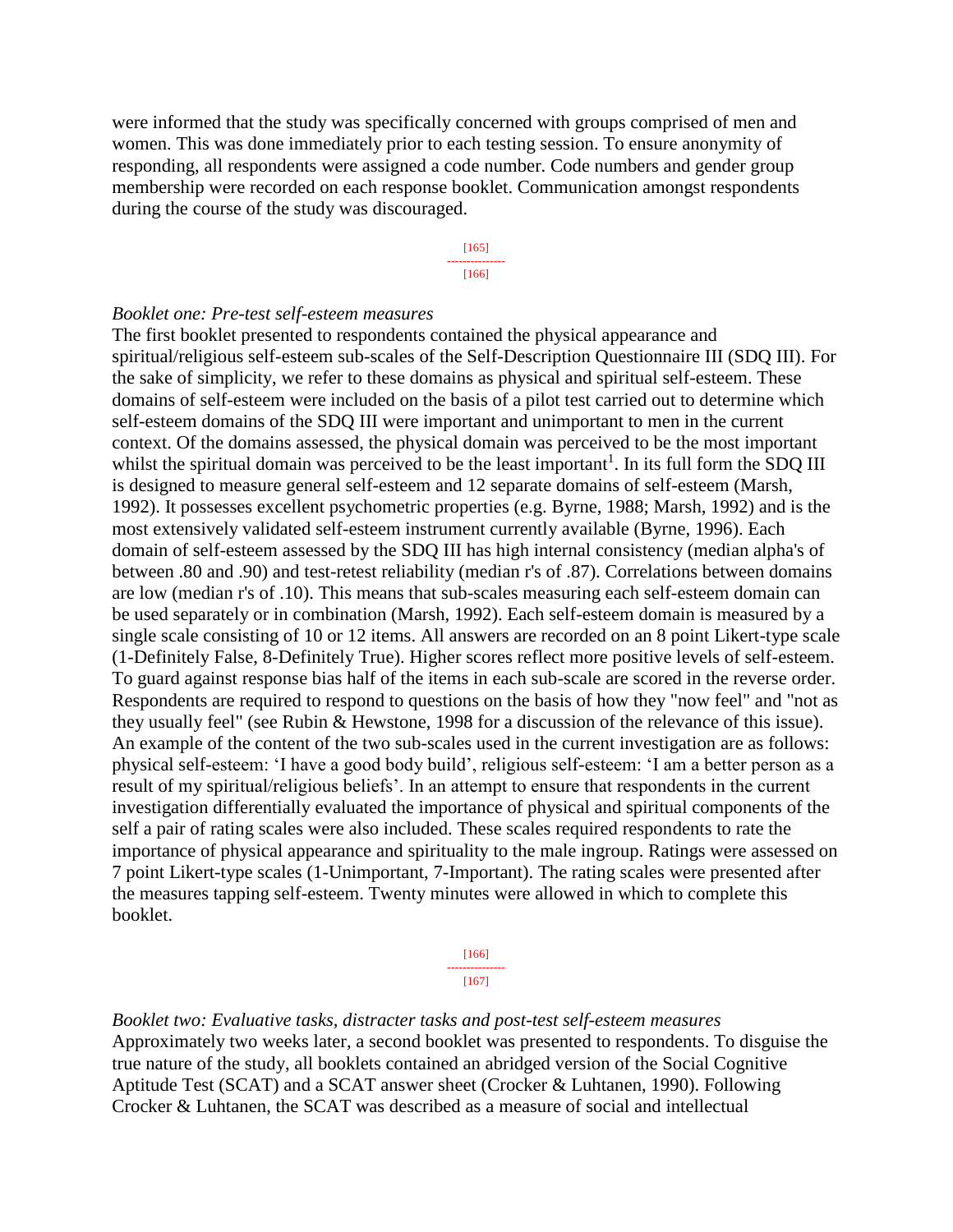were informed that the study was specifically concerned with groups comprised of men and women. This was done immediately prior to each testing session. To ensure anonymity of responding, all respondents were assigned a code number. Code numbers and gender group membership were recorded on each response booklet. Communication amongst respondents during the course of the study was discouraged.

> [165] --------------- [166]

#### *Booklet one: Pre-test self-esteem measures*

The first booklet presented to respondents contained the physical appearance and spiritual/religious self-esteem sub-scales of the Self-Description Questionnaire III (SDQ III). For the sake of simplicity, we refer to these domains as physical and spiritual self-esteem. These domains of self-esteem were included on the basis of a pilot test carried out to determine which self-esteem domains of the SDQ III were important and unimportant to men in the current context. Of the domains assessed, the physical domain was perceived to be the most important whilst the spiritual domain was perceived to be the least important<sup>1</sup>. In its full form the SDQ III is designed to measure general self-esteem and 12 separate domains of self-esteem (Marsh, 1992). It possesses excellent psychometric properties (e.g. Byrne, 1988; Marsh, 1992) and is the most extensively validated self-esteem instrument currently available (Byrne, 1996). Each domain of self-esteem assessed by the SDQ III has high internal consistency (median alpha's of between .80 and .90) and test-retest reliability (median r's of .87). Correlations between domains are low (median r's of .10). This means that sub-scales measuring each self-esteem domain can be used separately or in combination (Marsh, 1992). Each self-esteem domain is measured by a single scale consisting of 10 or 12 items. All answers are recorded on an 8 point Likert-type scale (1-Definitely False, 8-Definitely True). Higher scores reflect more positive levels of self-esteem. To guard against response bias half of the items in each sub-scale are scored in the reverse order. Respondents are required to respond to questions on the basis of how they "now feel" and "not as they usually feel" (see Rubin & Hewstone, 1998 for a discussion of the relevance of this issue). An example of the content of the two sub-scales used in the current investigation are as follows: physical self-esteem: 'I have a good body build', religious self-esteem: 'I am a better person as a result of my spiritual/religious beliefs'. In an attempt to ensure that respondents in the current investigation differentially evaluated the importance of physical and spiritual components of the self a pair of rating scales were also included. These scales required respondents to rate the importance of physical appearance and spirituality to the male ingroup. Ratings were assessed on 7 point Likert-type scales (1-Unimportant, 7-Important). The rating scales were presented after the measures tapping self-esteem. Twenty minutes were allowed in which to complete this booklet.

> [166] --------------- [167]

*Booklet two: Evaluative tasks, distracter tasks and post-test self-esteem measures* Approximately two weeks later, a second booklet was presented to respondents. To disguise the true nature of the study, all booklets contained an abridged version of the Social Cognitive Aptitude Test (SCAT) and a SCAT answer sheet (Crocker & Luhtanen, 1990). Following Crocker & Luhtanen, the SCAT was described as a measure of social and intellectual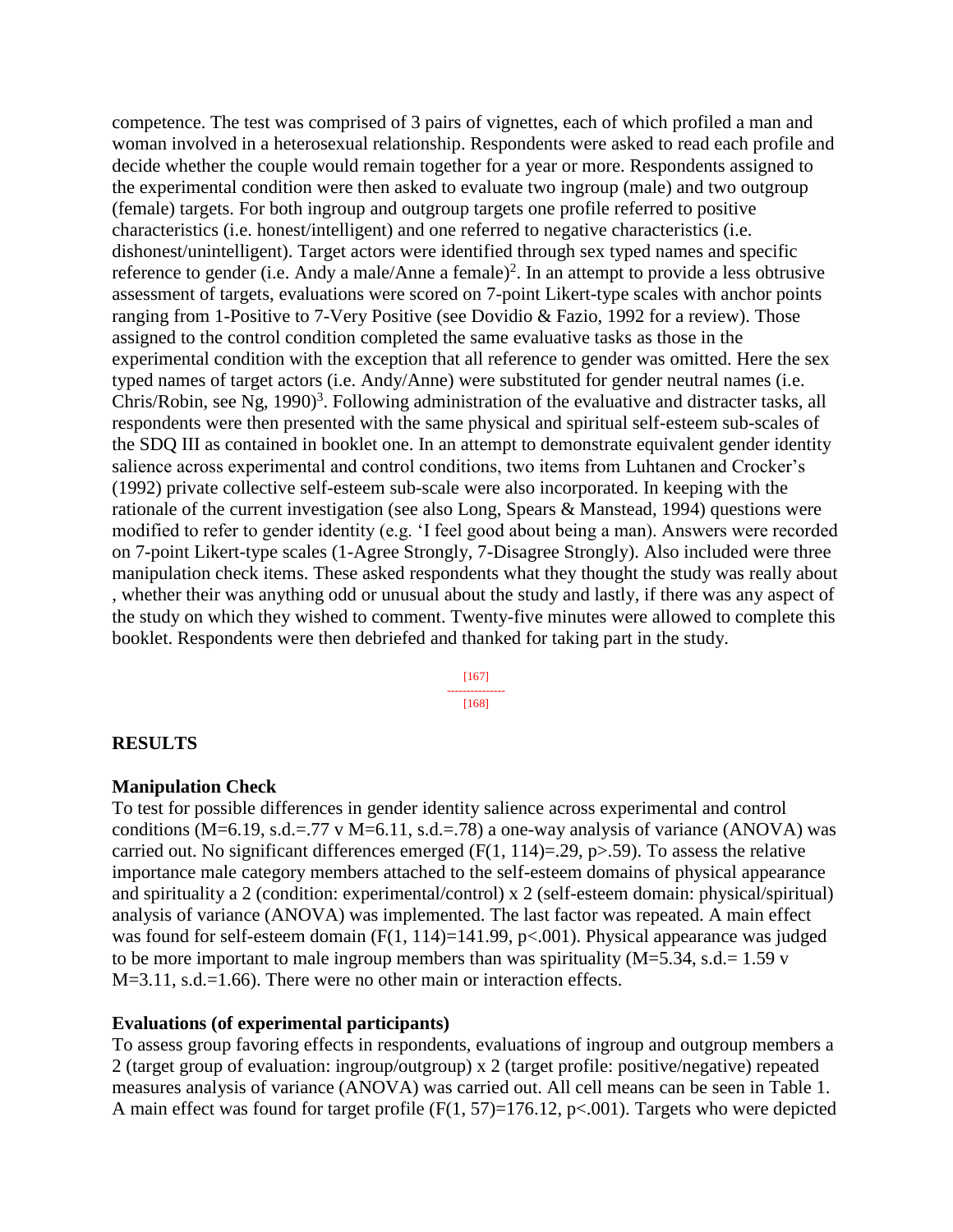competence. The test was comprised of 3 pairs of vignettes, each of which profiled a man and woman involved in a heterosexual relationship. Respondents were asked to read each profile and decide whether the couple would remain together for a year or more. Respondents assigned to the experimental condition were then asked to evaluate two ingroup (male) and two outgroup (female) targets. For both ingroup and outgroup targets one profile referred to positive characteristics (i.e. honest/intelligent) and one referred to negative characteristics (i.e. dishonest/unintelligent). Target actors were identified through sex typed names and specific reference to gender (i.e. Andy a male/Anne a female)<sup>2</sup>. In an attempt to provide a less obtrusive assessment of targets, evaluations were scored on 7-point Likert-type scales with anchor points ranging from 1-Positive to 7-Very Positive (see Dovidio & Fazio, 1992 for a review). Those assigned to the control condition completed the same evaluative tasks as those in the experimental condition with the exception that all reference to gender was omitted. Here the sex typed names of target actors (i.e. Andy/Anne) were substituted for gender neutral names (i.e. Chris/Robin, see Ng, 1990)<sup>3</sup>. Following administration of the evaluative and distracter tasks, all respondents were then presented with the same physical and spiritual self-esteem sub-scales of the SDQ III as contained in booklet one. In an attempt to demonstrate equivalent gender identity salience across experimental and control conditions, two items from Luhtanen and Crocker's (1992) private collective self-esteem sub-scale were also incorporated. In keeping with the rationale of the current investigation (see also Long, Spears & Manstead, 1994) questions were modified to refer to gender identity (e.g. 'I feel good about being a man). Answers were recorded on 7-point Likert-type scales (1-Agree Strongly, 7-Disagree Strongly). Also included were three manipulation check items. These asked respondents what they thought the study was really about , whether their was anything odd or unusual about the study and lastly, if there was any aspect of the study on which they wished to comment. Twenty-five minutes were allowed to complete this booklet. Respondents were then debriefed and thanked for taking part in the study.

> [167] --------------- [168]

### **RESULTS**

#### **Manipulation Check**

To test for possible differences in gender identity salience across experimental and control conditions (M=6.19, s.d.=.77 v M=6.11, s.d.=.78) a one-way analysis of variance (ANOVA) was carried out. No significant differences emerged  $(F(1, 114)=.29, p>0.59)$ . To assess the relative importance male category members attached to the self-esteem domains of physical appearance and spirituality a 2 (condition: experimental/control) x 2 (self-esteem domain: physical/spiritual) analysis of variance (ANOVA) was implemented. The last factor was repeated. A main effect was found for self-esteem domain (F(1, 114)=141.99, p<.001). Physical appearance was judged to be more important to male ingroup members than was spirituality  $(M=5.34, s.d.=1.59 \text{ v}$ M=3.11, s.d.=1.66). There were no other main or interaction effects.

#### **Evaluations (of experimental participants)**

To assess group favoring effects in respondents, evaluations of ingroup and outgroup members a 2 (target group of evaluation: ingroup/outgroup) x 2 (target profile: positive/negative) repeated measures analysis of variance (ANOVA) was carried out. All cell means can be seen in Table 1. A main effect was found for target profile  $(F(1, 57)=176.12, p<.001)$ . Targets who were depicted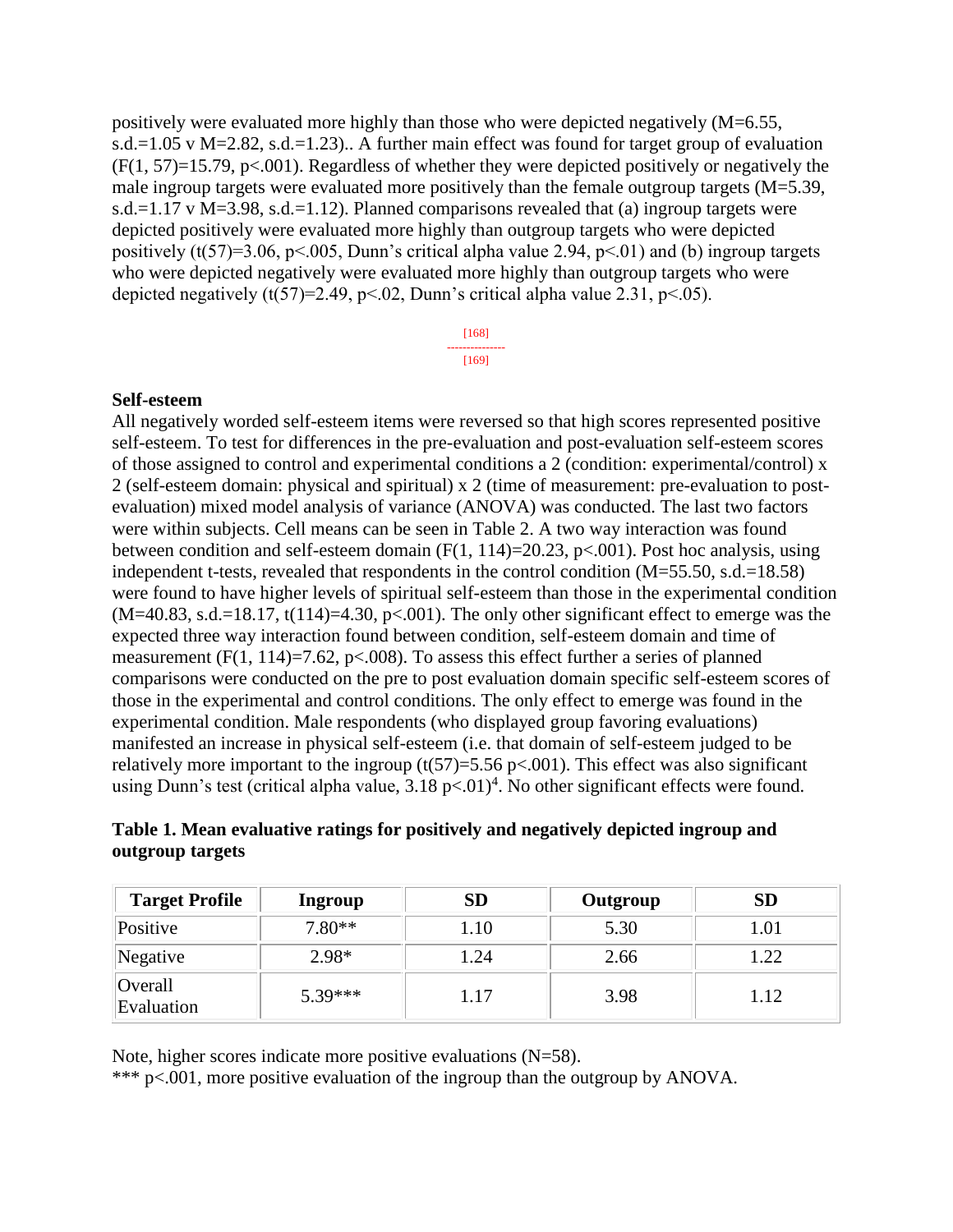positively were evaluated more highly than those who were depicted negatively (M=6.55, s.d.=1.05 v M=2.82, s.d.=1.23).. A further main effect was found for target group of evaluation  $(F(1, 57)=15.79, p<.001)$ . Regardless of whether they were depicted positively or negatively the male ingroup targets were evaluated more positively than the female outgroup targets (M=5.39, s.d.=1.17 v M=3.98, s.d.=1.12). Planned comparisons revealed that (a) ingroup targets were depicted positively were evaluated more highly than outgroup targets who were depicted positively (t(57)=3.06, p<.005, Dunn's critical alpha value 2.94, p<.01) and (b) ingroup targets who were depicted negatively were evaluated more highly than outgroup targets who were depicted negatively (t(57)=2.49, p<.02, Dunn's critical alpha value 2.31, p<.05).

> [168] --------------- [169]

#### **Self-esteem**

All negatively worded self-esteem items were reversed so that high scores represented positive self-esteem. To test for differences in the pre-evaluation and post-evaluation self-esteem scores of those assigned to control and experimental conditions a 2 (condition: experimental/control) x 2 (self-esteem domain: physical and spiritual) x 2 (time of measurement: pre-evaluation to postevaluation) mixed model analysis of variance (ANOVA) was conducted. The last two factors were within subjects. Cell means can be seen in Table 2. A two way interaction was found between condition and self-esteem domain  $(F(1, 114)=20.23, p<0.01)$ . Post hoc analysis, using independent t-tests, revealed that respondents in the control condition (M=55.50, s.d.=18.58) were found to have higher levels of spiritual self-esteem than those in the experimental condition  $(M=40.83, s.d.=18.17, t(114)=4.30, p<.001)$ . The only other significant effect to emerge was the expected three way interaction found between condition, self-esteem domain and time of measurement (F(1, 114)=7.62, p<.008). To assess this effect further a series of planned comparisons were conducted on the pre to post evaluation domain specific self-esteem scores of those in the experimental and control conditions. The only effect to emerge was found in the experimental condition. Male respondents (who displayed group favoring evaluations) manifested an increase in physical self-esteem (i.e. that domain of self-esteem judged to be relatively more important to the ingroup  $(t(57)=5.56 \text{ p} < .001)$ . This effect was also significant using Dunn's test (critical alpha value,  $3.18 \text{ p} < 0.01$ <sup>4</sup>. No other significant effects were found.

| Table 1. Mean evaluative ratings for positively and negatively depicted ingroup and |  |  |
|-------------------------------------------------------------------------------------|--|--|
| outgroup targets                                                                    |  |  |

| <b>Target Profile</b> | Ingroup   | SD   | Outgroup | <b>SD</b> |
|-----------------------|-----------|------|----------|-----------|
| Positive              | $7.80**$  | .10  | 5.30     | 1.01      |
| Negative              | $2.98*$   | .24  | 2.66     | 1.22      |
| Overall<br>Evaluation | $5.39***$ | 1.17 | 3.98     | 1.12      |

Note, higher scores indicate more positive evaluations (N=58).

\*\*\* p<.001, more positive evaluation of the ingroup than the outgroup by ANOVA.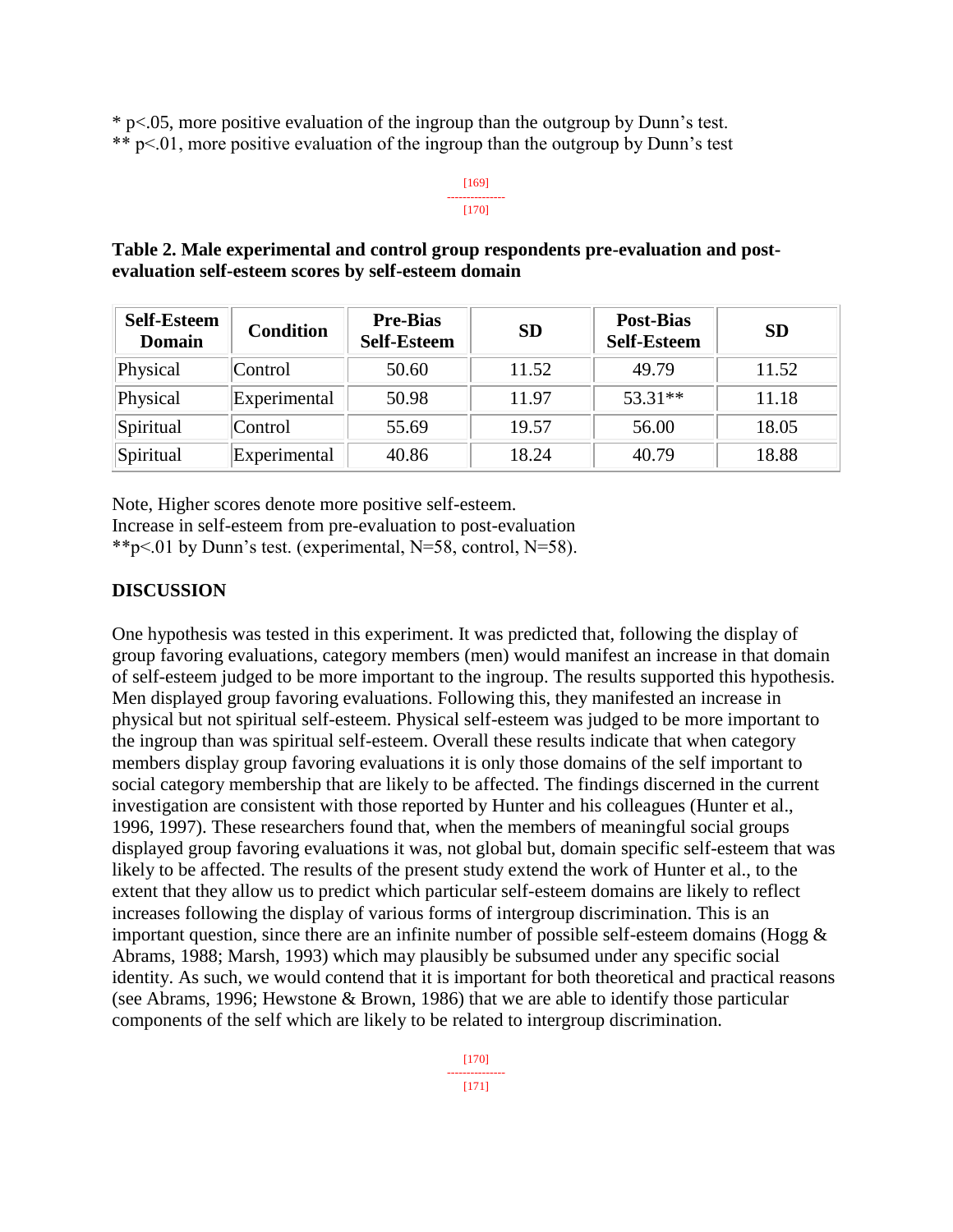\* p<.05, more positive evaluation of the ingroup than the outgroup by Dunn's test. \*\* p<.01, more positive evaluation of the ingroup than the outgroup by Dunn's test

#### [169] --------------- [170]

## **Table 2. Male experimental and control group respondents pre-evaluation and postevaluation self-esteem scores by self-esteem domain**

| <b>Self-Esteem</b><br><b>Domain</b> | <b>Condition</b> | <b>Pre-Bias</b><br><b>Self-Esteem</b> | <b>SD</b> | <b>Post-Bias</b><br><b>Self-Esteem</b> | <b>SD</b> |
|-------------------------------------|------------------|---------------------------------------|-----------|----------------------------------------|-----------|
| Physical                            | Control          | 50.60                                 | 11.52     | 49.79                                  | 11.52     |
| Physical                            | Experimental     | 50.98                                 | 11.97     | $53.31**$                              | 11.18     |
| Spiritual                           | Control          | 55.69                                 | 19.57     | 56.00                                  | 18.05     |
| Spiritual                           | Experimental     | 40.86                                 | 18.24     | 40.79                                  | 18.88     |

Note, Higher scores denote more positive self-esteem.

Increase in self-esteem from pre-evaluation to post-evaluation

\*\*p<.01 by Dunn's test. (experimental, N=58, control, N=58).

# **DISCUSSION**

One hypothesis was tested in this experiment. It was predicted that, following the display of group favoring evaluations, category members (men) would manifest an increase in that domain of self-esteem judged to be more important to the ingroup. The results supported this hypothesis. Men displayed group favoring evaluations. Following this, they manifested an increase in physical but not spiritual self-esteem. Physical self-esteem was judged to be more important to the ingroup than was spiritual self-esteem. Overall these results indicate that when category members display group favoring evaluations it is only those domains of the self important to social category membership that are likely to be affected. The findings discerned in the current investigation are consistent with those reported by Hunter and his colleagues (Hunter et al., 1996, 1997). These researchers found that, when the members of meaningful social groups displayed group favoring evaluations it was, not global but, domain specific self-esteem that was likely to be affected. The results of the present study extend the work of Hunter et al., to the extent that they allow us to predict which particular self-esteem domains are likely to reflect increases following the display of various forms of intergroup discrimination. This is an important question, since there are an infinite number of possible self-esteem domains (Hogg  $\&$ Abrams, 1988; Marsh, 1993) which may plausibly be subsumed under any specific social identity. As such, we would contend that it is important for both theoretical and practical reasons (see Abrams, 1996; Hewstone & Brown, 1986) that we are able to identify those particular components of the self which are likely to be related to intergroup discrimination.

> [170] --------------- [171]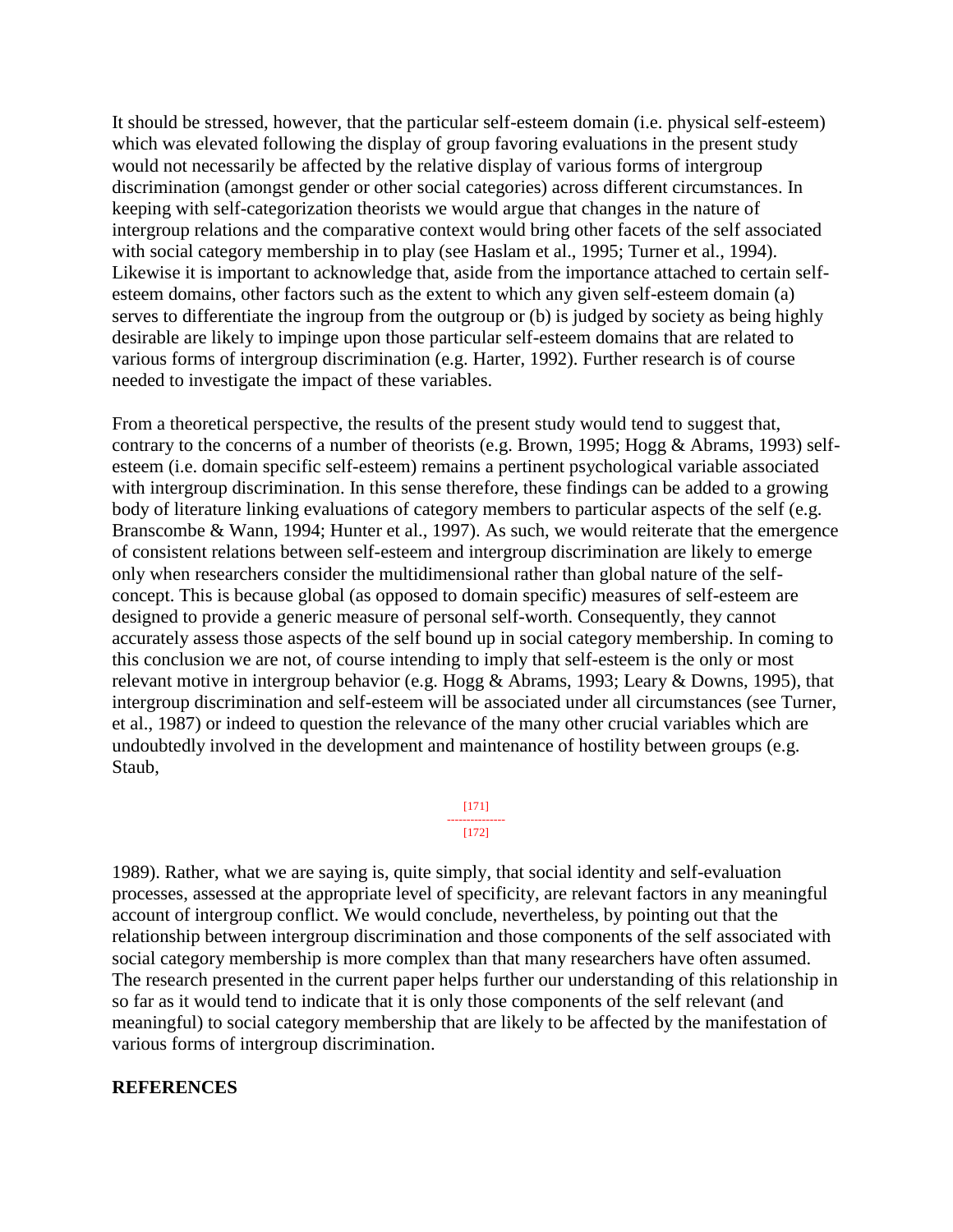It should be stressed, however, that the particular self-esteem domain (i.e. physical self-esteem) which was elevated following the display of group favoring evaluations in the present study would not necessarily be affected by the relative display of various forms of intergroup discrimination (amongst gender or other social categories) across different circumstances. In keeping with self-categorization theorists we would argue that changes in the nature of intergroup relations and the comparative context would bring other facets of the self associated with social category membership in to play (see Haslam et al., 1995; Turner et al., 1994). Likewise it is important to acknowledge that, aside from the importance attached to certain selfesteem domains, other factors such as the extent to which any given self-esteem domain (a) serves to differentiate the ingroup from the outgroup or (b) is judged by society as being highly desirable are likely to impinge upon those particular self-esteem domains that are related to various forms of intergroup discrimination (e.g. Harter, 1992). Further research is of course needed to investigate the impact of these variables.

From a theoretical perspective, the results of the present study would tend to suggest that, contrary to the concerns of a number of theorists (e.g. Brown, 1995; Hogg & Abrams, 1993) selfesteem (i.e. domain specific self-esteem) remains a pertinent psychological variable associated with intergroup discrimination. In this sense therefore, these findings can be added to a growing body of literature linking evaluations of category members to particular aspects of the self (e.g. Branscombe & Wann, 1994; Hunter et al., 1997). As such, we would reiterate that the emergence of consistent relations between self-esteem and intergroup discrimination are likely to emerge only when researchers consider the multidimensional rather than global nature of the selfconcept. This is because global (as opposed to domain specific) measures of self-esteem are designed to provide a generic measure of personal self-worth. Consequently, they cannot accurately assess those aspects of the self bound up in social category membership. In coming to this conclusion we are not, of course intending to imply that self-esteem is the only or most relevant motive in intergroup behavior (e.g. Hogg & Abrams, 1993; Leary & Downs, 1995), that intergroup discrimination and self-esteem will be associated under all circumstances (see Turner, et al., 1987) or indeed to question the relevance of the many other crucial variables which are undoubtedly involved in the development and maintenance of hostility between groups (e.g. Staub,

#### [171] --------------- [172]

1989). Rather, what we are saying is, quite simply, that social identity and self-evaluation processes, assessed at the appropriate level of specificity, are relevant factors in any meaningful account of intergroup conflict. We would conclude, nevertheless, by pointing out that the relationship between intergroup discrimination and those components of the self associated with social category membership is more complex than that many researchers have often assumed. The research presented in the current paper helps further our understanding of this relationship in so far as it would tend to indicate that it is only those components of the self relevant (and meaningful) to social category membership that are likely to be affected by the manifestation of various forms of intergroup discrimination.

## **REFERENCES**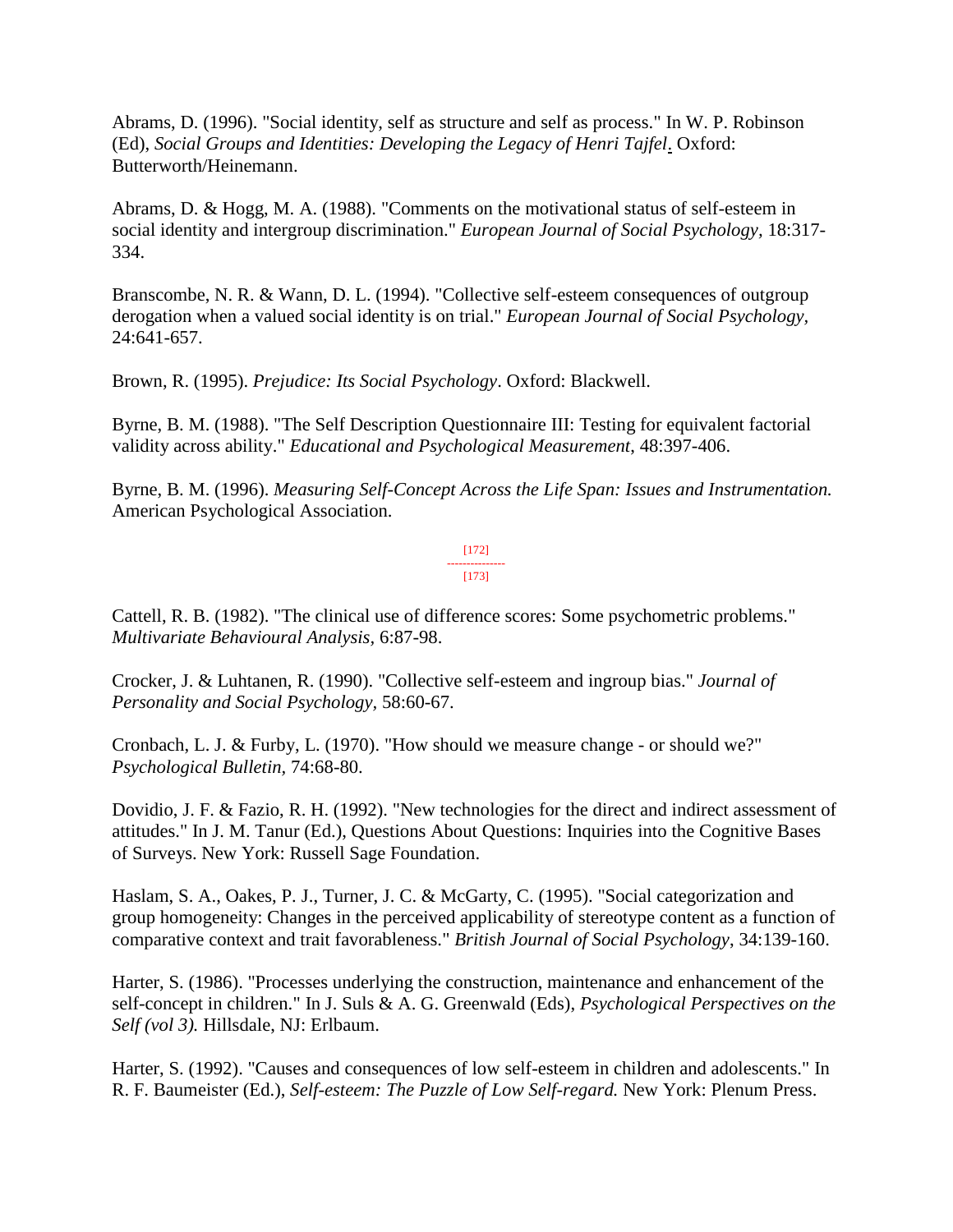Abrams, D. (1996). "Social identity, self as structure and self as process." In W. P. Robinson (Ed), *Social Groups and Identities: Developing the Legacy of Henri Tajfel*. Oxford: Butterworth/Heinemann.

Abrams, D. & Hogg, M. A. (1988). "Comments on the motivational status of self-esteem in social identity and intergroup discrimination." *European Journal of Social Psychology,* 18:317- 334.

Branscombe, N. R. & Wann, D. L. (1994). "Collective self-esteem consequences of outgroup derogation when a valued social identity is on trial." *European Journal of Social Psychology,*  24:641-657.

Brown, R. (1995). *Prejudice: Its Social Psychology*. Oxford: Blackwell.

Byrne, B. M. (1988). "The Self Description Questionnaire III: Testing for equivalent factorial validity across ability." *Educational and Psychological Measurement*, 48:397-406.

Byrne, B. M. (1996). *Measuring Self-Concept Across the Life Span: Issues and Instrumentation.*  American Psychological Association.

> [172] --------------- [173]

Cattell, R. B. (1982). "The clinical use of difference scores: Some psychometric problems." *Multivariate Behavioural Analysis,* 6:87-98.

Crocker, J. & Luhtanen, R. (1990). "Collective self-esteem and ingroup bias." *Journal of Personality and Social Psychology,* 58:60-67.

Cronbach, L. J. & Furby, L. (1970). "How should we measure change - or should we?" *Psychological Bulletin,* 74:68-80.

Dovidio, J. F. & Fazio, R. H. (1992). "New technologies for the direct and indirect assessment of attitudes." In J. M. Tanur (Ed.), Questions About Questions: Inquiries into the Cognitive Bases of Surveys. New York: Russell Sage Foundation.

Haslam, S. A., Oakes, P. J., Turner, J. C. & McGarty, C. (1995). "Social categorization and group homogeneity: Changes in the perceived applicability of stereotype content as a function of comparative context and trait favorableness." *British Journal of Social Psychology*, 34:139-160.

Harter, S. (1986). "Processes underlying the construction, maintenance and enhancement of the self-concept in children." In J. Suls & A. G. Greenwald (Eds), *Psychological Perspectives on the Self (vol 3).* Hillsdale, NJ: Erlbaum.

Harter, S. (1992). "Causes and consequences of low self-esteem in children and adolescents." In R. F. Baumeister (Ed.), *Self-esteem: The Puzzle of Low Self-regard.* New York: Plenum Press.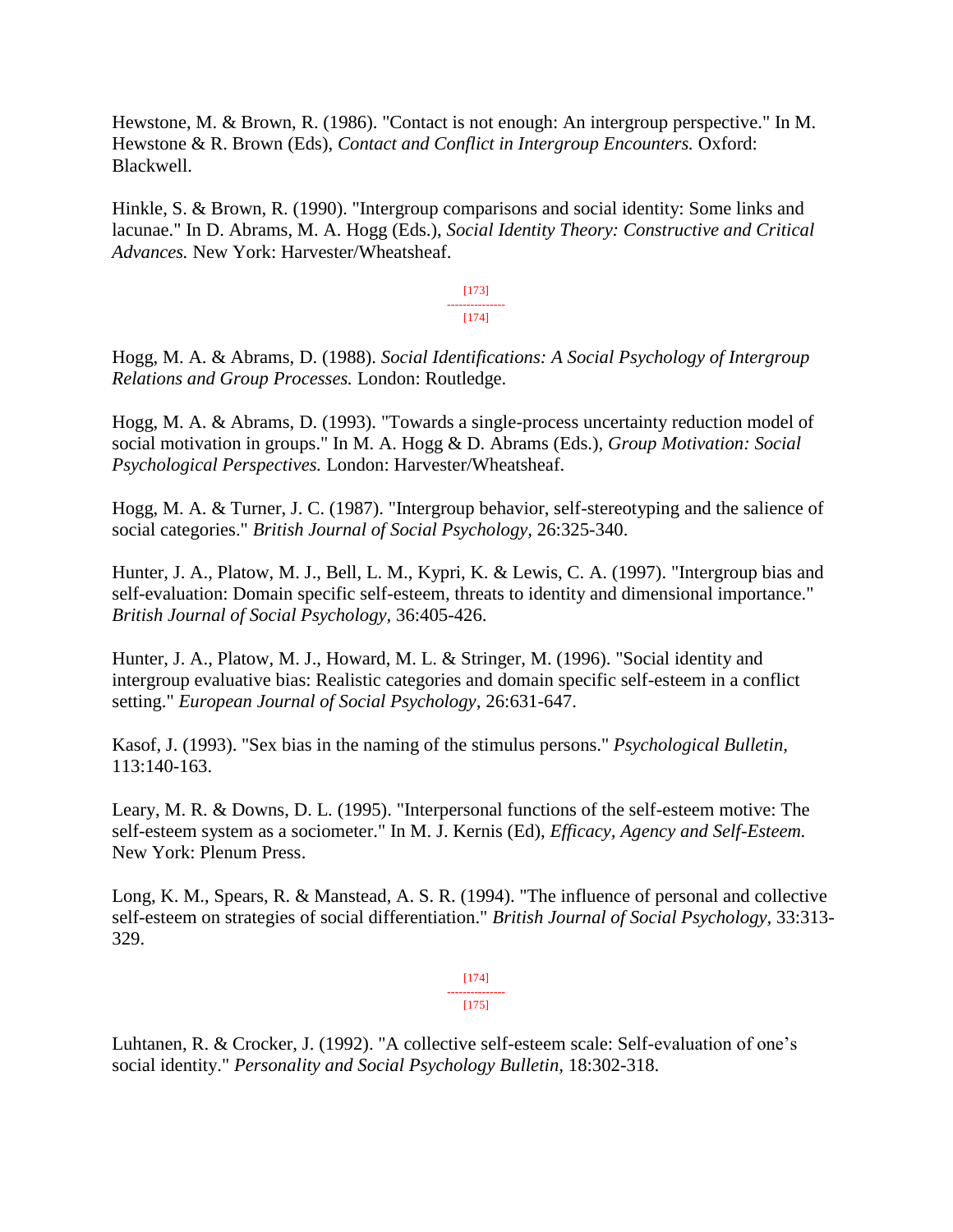Hewstone, M. & Brown, R. (1986). "Contact is not enough: An intergroup perspective." In M. Hewstone & R. Brown (Eds), *Contact and Conflict in Intergroup Encounters.* Oxford: Blackwell.

Hinkle, S. & Brown, R. (1990). "Intergroup comparisons and social identity: Some links and lacunae." In D. Abrams, M. A. Hogg (Eds.), *Social Identity Theory: Constructive and Critical Advances.* New York: Harvester/Wheatsheaf.

> [173] --------------- [174]

Hogg, M. A. & Abrams, D. (1988). *Social Identifications: A Social Psychology of Intergroup Relations and Group Processes.* London: Routledge.

Hogg, M. A. & Abrams, D. (1993). "Towards a single-process uncertainty reduction model of social motivation in groups." In M. A. Hogg & D. Abrams (Eds.), *Group Motivation: Social Psychological Perspectives.* London: Harvester/Wheatsheaf.

Hogg, M. A. & Turner, J. C. (1987). "Intergroup behavior, self-stereotyping and the salience of social categories." *British Journal of Social Psychology,* 26:325-340.

Hunter, J. A., Platow, M. J., Bell, L. M., Kypri, K. & Lewis, C. A. (1997). "Intergroup bias and self-evaluation: Domain specific self-esteem, threats to identity and dimensional importance." *British Journal of Social Psychology,* 36:405-426.

Hunter, J. A., Platow, M. J., Howard, M. L. & Stringer, M. (1996). "Social identity and intergroup evaluative bias: Realistic categories and domain specific self-esteem in a conflict setting." *European Journal of Social Psychology,* 26:631-647.

Kasof, J. (1993). "Sex bias in the naming of the stimulus persons." *Psychological Bulletin,*  113:140-163.

Leary, M. R. & Downs, D. L. (1995). "Interpersonal functions of the self-esteem motive: The self-esteem system as a sociometer." In M. J. Kernis (Ed), *Efficacy, Agency and Self-Esteem.* New York: Plenum Press.

Long, K. M., Spears, R. & Manstead, A. S. R. (1994). "The influence of personal and collective self-esteem on strategies of social differentiation." *British Journal of Social Psychology,* 33:313- 329.

> [174] --------------- [175]

Luhtanen, R. & Crocker, J. (1992). "A collective self-esteem scale: Self-evaluation of one's social identity." *Personality and Social Psychology Bulletin,* 18:302-318.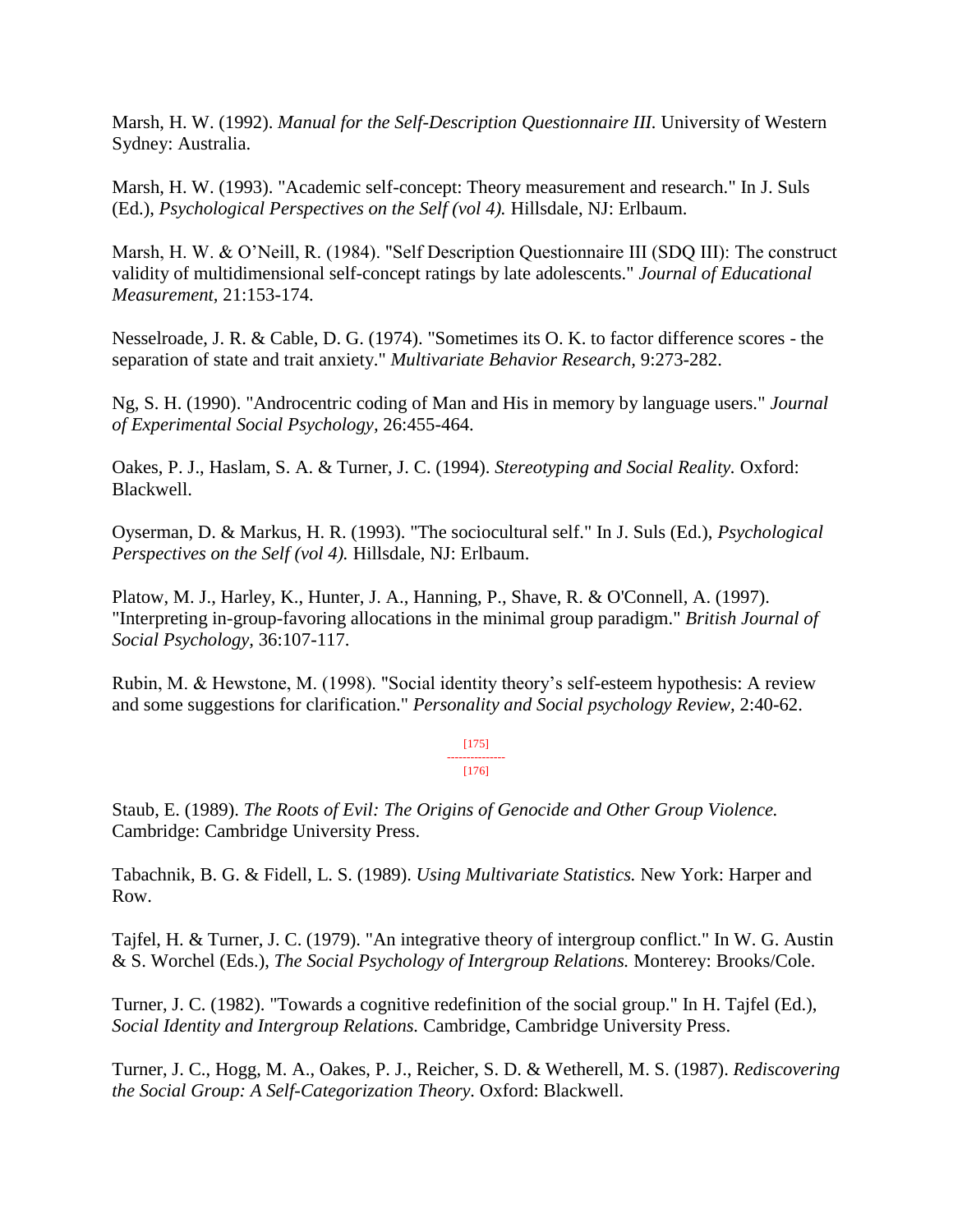Marsh, H. W. (1992). *Manual for the Self-Description Questionnaire III.* University of Western Sydney: Australia.

Marsh, H. W. (1993). "Academic self-concept: Theory measurement and research." In J. Suls (Ed.), *Psychological Perspectives on the Self (vol 4).* Hillsdale, NJ: Erlbaum.

Marsh, H. W. & O'Neill, R. (1984). "Self Description Questionnaire III (SDQ III): The construct validity of multidimensional self-concept ratings by late adolescents." *Journal of Educational Measurement,* 21:153-174.

Nesselroade, J. R. & Cable, D. G. (1974). "Sometimes its O. K. to factor difference scores - the separation of state and trait anxiety." *Multivariate Behavior Research,* 9:273-282.

Ng, S. H. (1990). "Androcentric coding of Man and His in memory by language users." *Journal of Experimental Social Psychology,* 26:455-464.

Oakes, P. J., Haslam, S. A. & Turner, J. C. (1994). *Stereotyping and Social Reality.* Oxford: Blackwell.

Oyserman, D. & Markus, H. R. (1993). "The sociocultural self." In J. Suls (Ed.), *Psychological Perspectives on the Self (vol 4).* Hillsdale, NJ: Erlbaum.

Platow, M. J., Harley, K., Hunter, J. A., Hanning, P., Shave, R. & O'Connell, A. (1997). "Interpreting in-group-favoring allocations in the minimal group paradigm." *British Journal of Social Psychology,* 36:107-117.

Rubin, M. & Hewstone, M. (1998). "Social identity theory's self-esteem hypothesis: A review and some suggestions for clarification." *Personality and Social psychology Review,* 2:40-62.

> [175] --------------- [176]

Staub, E. (1989). *The Roots of Evil: The Origins of Genocide and Other Group Violence.*  Cambridge: Cambridge University Press.

Tabachnik, B. G. & Fidell, L. S. (1989). *Using Multivariate Statistics.* New York: Harper and Row.

Tajfel, H. & Turner, J. C. (1979). "An integrative theory of intergroup conflict." In W. G. Austin & S. Worchel (Eds.), *The Social Psychology of Intergroup Relations.* Monterey: Brooks/Cole.

Turner, J. C. (1982). "Towards a cognitive redefinition of the social group." In H. Tajfel (Ed.), *Social Identity and Intergroup Relations.* Cambridge, Cambridge University Press.

Turner, J. C., Hogg, M. A., Oakes, P. J., Reicher, S. D. & Wetherell, M. S. (1987). *Rediscovering the Social Group: A Self-Categorization Theory.* Oxford: Blackwell.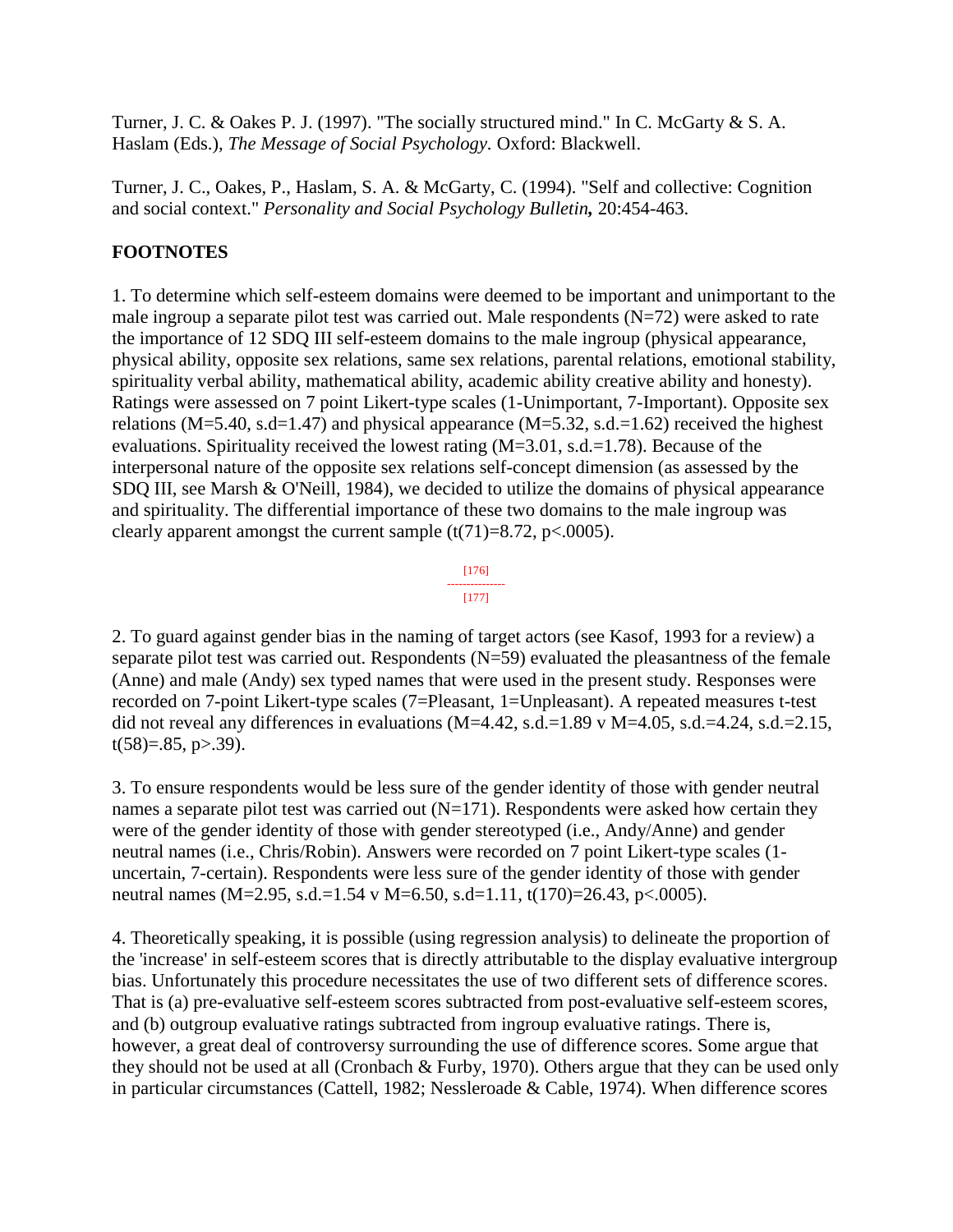Turner, J. C. & Oakes P. J. (1997). "The socially structured mind." In C. McGarty & S. A. Haslam (Eds.)*, The Message of Social Psychology.* Oxford: Blackwell.

Turner, J. C., Oakes, P., Haslam, S. A. & McGarty, C. (1994). "Self and collective: Cognition and social context." *Personality and Social Psychology Bulletin,* 20:454-463.

# **FOOTNOTES**

1. To determine which self-esteem domains were deemed to be important and unimportant to the male ingroup a separate pilot test was carried out. Male respondents  $(N=72)$  were asked to rate the importance of 12 SDQ III self-esteem domains to the male ingroup (physical appearance, physical ability, opposite sex relations, same sex relations, parental relations, emotional stability, spirituality verbal ability, mathematical ability, academic ability creative ability and honesty). Ratings were assessed on 7 point Likert-type scales (1-Unimportant, 7-Important). Opposite sex relations (M=5.40, s.d=1.47) and physical appearance (M=5.32, s.d.=1.62) received the highest evaluations. Spirituality received the lowest rating  $(M=3.01, s.d.=1.78)$ . Because of the interpersonal nature of the opposite sex relations self-concept dimension (as assessed by the SDQ III, see Marsh & O'Neill, 1984), we decided to utilize the domains of physical appearance and spirituality. The differential importance of these two domains to the male ingroup was clearly apparent amongst the current sample  $(t(71)=8.72, p<.0005)$ .



2. To guard against gender bias in the naming of target actors (see Kasof, 1993 for a review) a separate pilot test was carried out. Respondents (N=59) evaluated the pleasantness of the female (Anne) and male (Andy) sex typed names that were used in the present study. Responses were recorded on 7-point Likert-type scales (7=Pleasant, 1=Unpleasant). A repeated measures t-test did not reveal any differences in evaluations  $(M=4.42, s.d.=1.89 \text{ v } M=4.05, s.d.=4.24, s.d.=2.15,$  $t(58)=.85, p>39$ ).

3. To ensure respondents would be less sure of the gender identity of those with gender neutral names a separate pilot test was carried out  $(N=171)$ . Respondents were asked how certain they were of the gender identity of those with gender stereotyped (i.e., Andy/Anne) and gender neutral names (i.e., Chris/Robin). Answers were recorded on 7 point Likert-type scales (1 uncertain, 7-certain). Respondents were less sure of the gender identity of those with gender neutral names (M=2.95, s.d.=1.54 v M=6.50, s.d=1.11, t(170)=26.43, p<.0005).

4. Theoretically speaking, it is possible (using regression analysis) to delineate the proportion of the 'increase' in self-esteem scores that is directly attributable to the display evaluative intergroup bias. Unfortunately this procedure necessitates the use of two different sets of difference scores. That is (a) pre-evaluative self-esteem scores subtracted from post-evaluative self-esteem scores, and (b) outgroup evaluative ratings subtracted from ingroup evaluative ratings. There is, however, a great deal of controversy surrounding the use of difference scores. Some argue that they should not be used at all (Cronbach & Furby, 1970). Others argue that they can be used only in particular circumstances (Cattell, 1982; Nessleroade & Cable, 1974). When difference scores